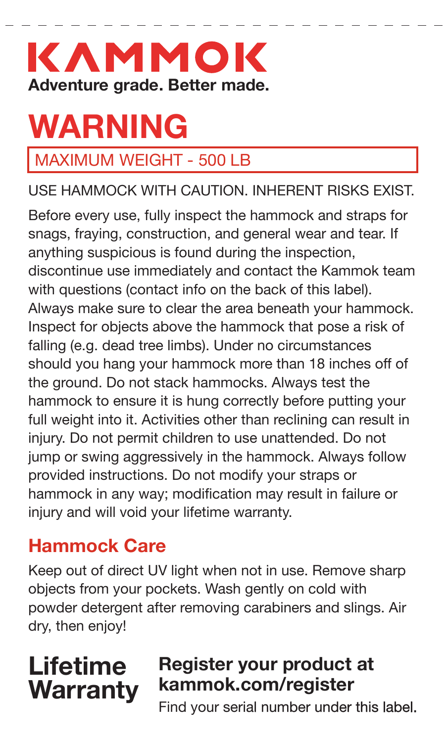# KAMMOK **Adventure grade. Better made.**

# **WARNING**

## MAXIMUM WEIGHT - 500 LB

USE HAMMOCK WITH CAUTION. INHERENT RISKS EXIST.

Before every use, fully inspect the hammock and straps for snags, fraying, construction, and general wear and tear. If anything suspicious is found during the inspection, discontinue use immediately and contact the Kammok team with questions (contact info on the back of this label). Always make sure to clear the area beneath your hammock. Inspect for objects above the hammock that pose a risk of falling (e.g. dead tree limbs). Under no circumstances should you hang your hammock more than 18 inches off of the ground. Do not stack hammocks. Always test the hammock to ensure it is hung correctly before putting your full weight into it. Activities other than reclining can result in injury. Do not permit children to use unattended. Do not jump or swing aggressively in the hammock. Always follow provided instructions. Do not modify your straps or hammock in any way; modification may result in failure or injury and will void your lifetime warranty.

# **Hammock Care**

Keep out of direct UV light when not in use. Remove sharp objects from your pockets. Wash gently on cold with powder detergent after removing carabiners and slings. Air dry, then enjoy!

# **Lifetime Warranty**

## **Register your product at kammok.com/register**

Find your serial number under this label.